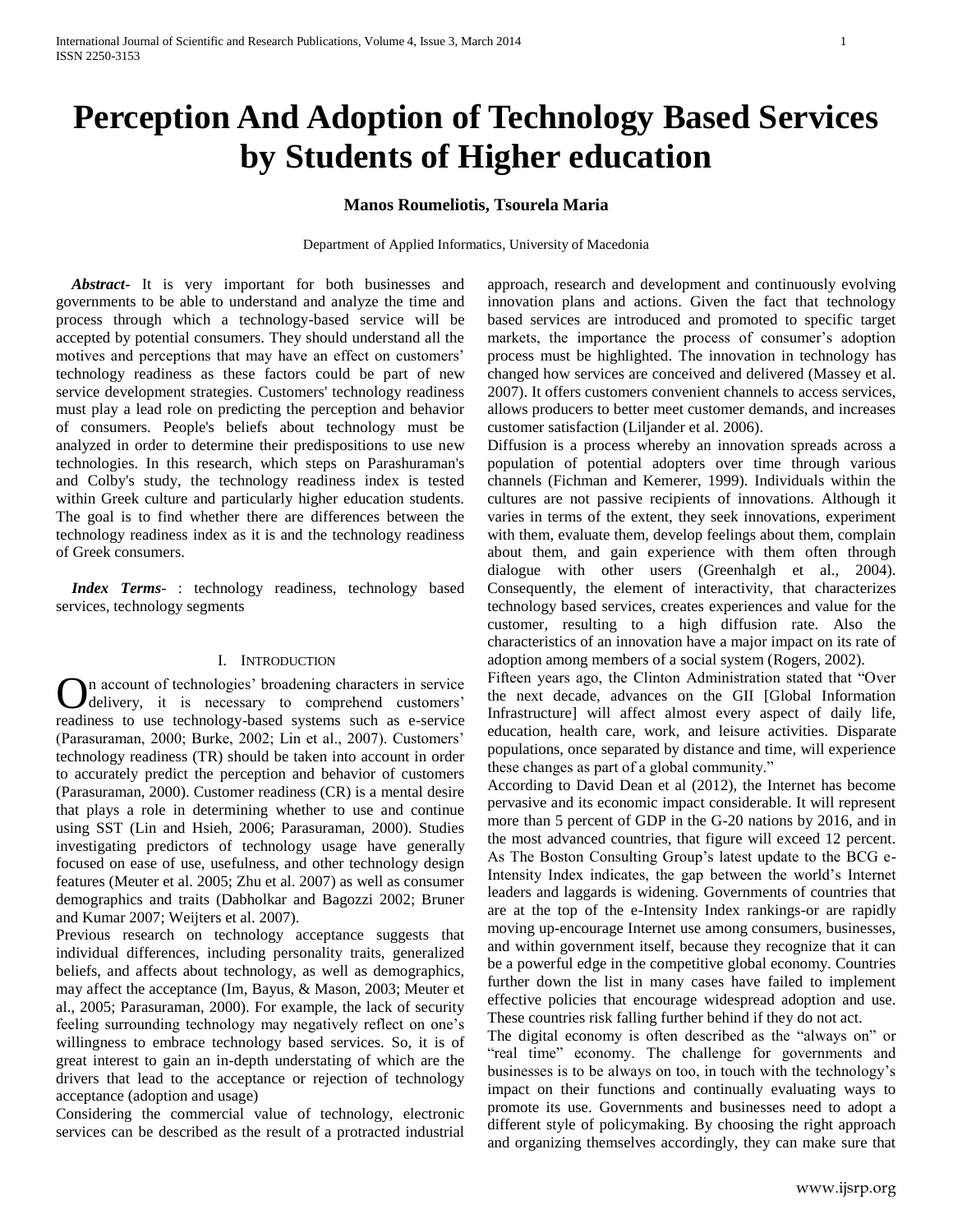# **Perception And Adoption of Technology Based Services by Students of Higher education**

### **Manos Roumeliotis, Tsourela Maria**

Department of Applied Informatics, University of Macedonia

 *Abstract***-** It is very important for both businesses and governments to be able to understand and analyze the time and process through which a technology-based service will be accepted by potential consumers. They should understand all the motives and perceptions that may have an effect on customers' technology readiness as these factors could be part of new service development strategies. Customers' technology readiness must play a lead role on predicting the perception and behavior of consumers. People's beliefs about technology must be analyzed in order to determine their predispositions to use new technologies. In this research, which steps on Parashuraman's and Colby's study, the technology readiness index is tested within Greek culture and particularly higher education students. The goal is to find whether there are differences between the technology readiness index as it is and the technology readiness of Greek consumers.

 *Index Terms*- : technology readiness, technology based services, technology segments

#### I. INTRODUCTION

**O**n account of technologies' broadening characters in service delivery, it is necessary to comprehend customers' delivery, it is necessary to comprehend customers' readiness to use technology-based systems such as e-service (Parasuraman, 2000; Burke, 2002; Lin et al., 2007). Customers' technology readiness (TR) should be taken into account in order to accurately predict the perception and behavior of customers (Parasuraman, 2000). Customer readiness (CR) is a mental desire that plays a role in determining whether to use and continue using SST (Lin and Hsieh, 2006; Parasuraman, 2000). Studies investigating predictors of technology usage have generally focused on ease of use, usefulness, and other technology design features (Meuter et al. 2005; Zhu et al. 2007) as well as consumer demographics and traits (Dabholkar and Bagozzi 2002; Bruner and Kumar 2007; Weijters et al. 2007).

Previous research on technology acceptance suggests that individual differences, including personality traits, generalized beliefs, and affects about technology, as well as demographics, may affect the acceptance (Im, Bayus, & Mason, 2003; Meuter et al., 2005; Parasuraman, 2000). For example, the lack of security feeling surrounding technology may negatively reflect on one's willingness to embrace technology based services. So, it is of great interest to gain an in-depth understating of which are the drivers that lead to the acceptance or rejection of technology acceptance (adoption and usage)

Considering the commercial value of technology, electronic services can be described as the result of a protracted industrial

approach, research and development and continuously evolving innovation plans and actions. Given the fact that technology based services are introduced and promoted to specific target markets, the importance the process of consumer's adoption process must be highlighted. The innovation in technology has changed how services are conceived and delivered (Massey et al. 2007). It offers customers convenient channels to access services, allows producers to better meet customer demands, and increases customer satisfaction (Liljander et al. 2006).

Diffusion is a process whereby an innovation spreads across a population of potential adopters over time through various channels (Fichman and Kemerer, 1999). Individuals within the cultures are not passive recipients of innovations. Although it varies in terms of the extent, they seek innovations, experiment with them, evaluate them, develop feelings about them, complain about them, and gain experience with them often through dialogue with other users (Greenhalgh et al., 2004). Consequently, the element of interactivity, that characterizes technology based services, creates experiences and value for the customer, resulting to a high diffusion rate. Also the characteristics of an innovation have a major impact on its rate of adoption among members of a social system (Rogers, 2002).

Fifteen years ago, the Clinton Administration stated that "Over the next decade, advances on the GII [Global Information Infrastructure] will affect almost every aspect of daily life, education, health care, work, and leisure activities. Disparate populations, once separated by distance and time, will experience these changes as part of a global community."

According to David Dean et al (2012), the Internet has become pervasive and its economic impact considerable. It will represent more than 5 percent of GDP in the G-20 nations by 2016, and in the most advanced countries, that figure will exceed 12 percent. As The Boston Consulting Group's latest update to the BCG e-Intensity Index indicates, the gap between the world's Internet leaders and laggards is widening. Governments of countries that are at the top of the e-Intensity Index rankings-or are rapidly moving up-encourage Internet use among consumers, businesses, and within government itself, because they recognize that it can be a powerful edge in the competitive global economy. Countries further down the list in many cases have failed to implement effective policies that encourage widespread adoption and use. These countries risk falling further behind if they do not act.

The digital economy is often described as the "always on" or "real time" economy. The challenge for governments and businesses is to be always on too, in touch with the technology's impact on their functions and continually evaluating ways to promote its use. Governments and businesses need to adopt a different style of policymaking. By choosing the right approach and organizing themselves accordingly, they can make sure that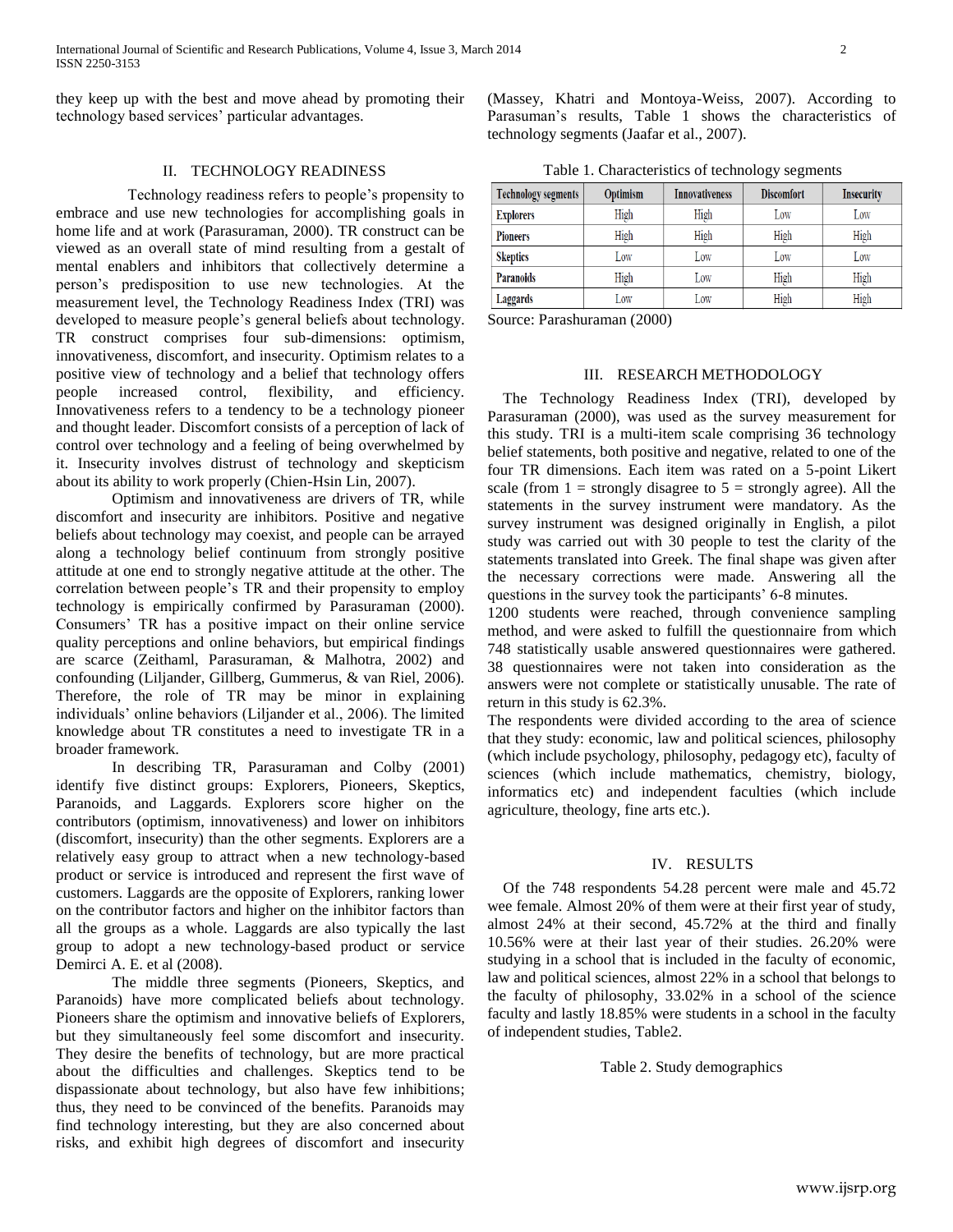they keep up with the best and move ahead by promoting their technology based services' particular advantages.

## II. TECHNOLOGY READINESS

 Technology readiness refers to people's propensity to embrace and use new technologies for accomplishing goals in home life and at work (Parasuraman, 2000). TR construct can be viewed as an overall state of mind resulting from a gestalt of mental enablers and inhibitors that collectively determine a person's predisposition to use new technologies. At the measurement level, the Technology Readiness Index (TRI) was developed to measure people's general beliefs about technology. TR construct comprises four sub-dimensions: optimism, innovativeness, discomfort, and insecurity. Optimism relates to a positive view of technology and a belief that technology offers people increased control, flexibility, and efficiency. Innovativeness refers to a tendency to be a technology pioneer and thought leader. Discomfort consists of a perception of lack of control over technology and a feeling of being overwhelmed by it. Insecurity involves distrust of technology and skepticism about its ability to work properly (Chien-Hsin Lin, 2007).

Optimism and innovativeness are drivers of TR, while discomfort and insecurity are inhibitors. Positive and negative beliefs about technology may coexist, and people can be arrayed along a technology belief continuum from strongly positive attitude at one end to strongly negative attitude at the other. The correlation between people's TR and their propensity to employ technology is empirically confirmed by Parasuraman (2000). Consumers' TR has a positive impact on their online service quality perceptions and online behaviors, but empirical findings are scarce (Zeithaml, Parasuraman, & Malhotra, 2002) and confounding (Liljander, Gillberg, Gummerus, & van Riel, 2006). Therefore, the role of TR may be minor in explaining individuals' online behaviors (Liljander et al., 2006). The limited knowledge about TR constitutes a need to investigate TR in a broader framework.

In describing TR, Parasuraman and Colby (2001) identify five distinct groups: Explorers, Pioneers, Skeptics, Paranoids, and Laggards. Explorers score higher on the contributors (optimism, innovativeness) and lower on inhibitors (discomfort, insecurity) than the other segments. Explorers are a relatively easy group to attract when a new technology-based product or service is introduced and represent the first wave of customers. Laggards are the opposite of Explorers, ranking lower on the contributor factors and higher on the inhibitor factors than all the groups as a whole. Laggards are also typically the last group to adopt a new technology-based product or service Demirci A. E. et al (2008).

The middle three segments (Pioneers, Skeptics, and Paranoids) have more complicated beliefs about technology. Pioneers share the optimism and innovative beliefs of Explorers, but they simultaneously feel some discomfort and insecurity. They desire the benefits of technology, but are more practical about the difficulties and challenges. Skeptics tend to be dispassionate about technology, but also have few inhibitions; thus, they need to be convinced of the benefits. Paranoids may find technology interesting, but they are also concerned about risks, and exhibit high degrees of discomfort and insecurity

(Massey, Khatri and Montoya-Weiss, 2007). According to Parasuman's results, Table 1 shows the characteristics of technology segments (Jaafar et al., 2007).

Table 1. Characteristics of technology segments

| <b>Technology segments</b> | Optimism | <b>Innovativeness</b> | <b>Discomfort</b> | <b>Insecurity</b> |  |
|----------------------------|----------|-----------------------|-------------------|-------------------|--|
| <b>Explorers</b>           | High     | High                  | Low               | Low               |  |
| <b>Pioneers</b>            | High     | High                  | High              | High              |  |
| <b>Skeptics</b>            | Low      | Low                   | Low               | Low               |  |
| <b>Paranoids</b>           | High     | Low                   | High              | High              |  |
| Laggards                   | Low      | Low                   | High              | High              |  |

Source: Parashuraman (2000)

#### III. RESEARCH METHODOLOGY

 The Technology Readiness Index (TRI), developed by Parasuraman (2000), was used as the survey measurement for this study. TRI is a multi-item scale comprising 36 technology belief statements, both positive and negative, related to one of the four TR dimensions. Each item was rated on a 5-point Likert scale (from  $1 =$  strongly disagree to  $5 =$  strongly agree). All the statements in the survey instrument were mandatory. As the survey instrument was designed originally in English, a pilot study was carried out with 30 people to test the clarity of the statements translated into Greek. The final shape was given after the necessary corrections were made. Answering all the questions in the survey took the participants' 6-8 minutes.

1200 students were reached, through convenience sampling method, and were asked to fulfill the questionnaire from which 748 statistically usable answered questionnaires were gathered. 38 questionnaires were not taken into consideration as the answers were not complete or statistically unusable. The rate of return in this study is 62.3%.

The respondents were divided according to the area of science that they study: economic, law and political sciences, philosophy (which include psychology, philosophy, pedagogy etc), faculty of sciences (which include mathematics, chemistry, biology, informatics etc) and independent faculties (which include agriculture, theology, fine arts etc.).

## IV. RESULTS

 Of the 748 respondents 54.28 percent were male and 45.72 wee female. Almost 20% of them were at their first year of study, almost 24% at their second, 45.72% at the third and finally 10.56% were at their last year of their studies. 26.20% were studying in a school that is included in the faculty of economic, law and political sciences, almost 22% in a school that belongs to the faculty of philosophy, 33.02% in a school of the science faculty and lastly 18.85% were students in a school in the faculty of independent studies, Table2.

Table 2. Study demographics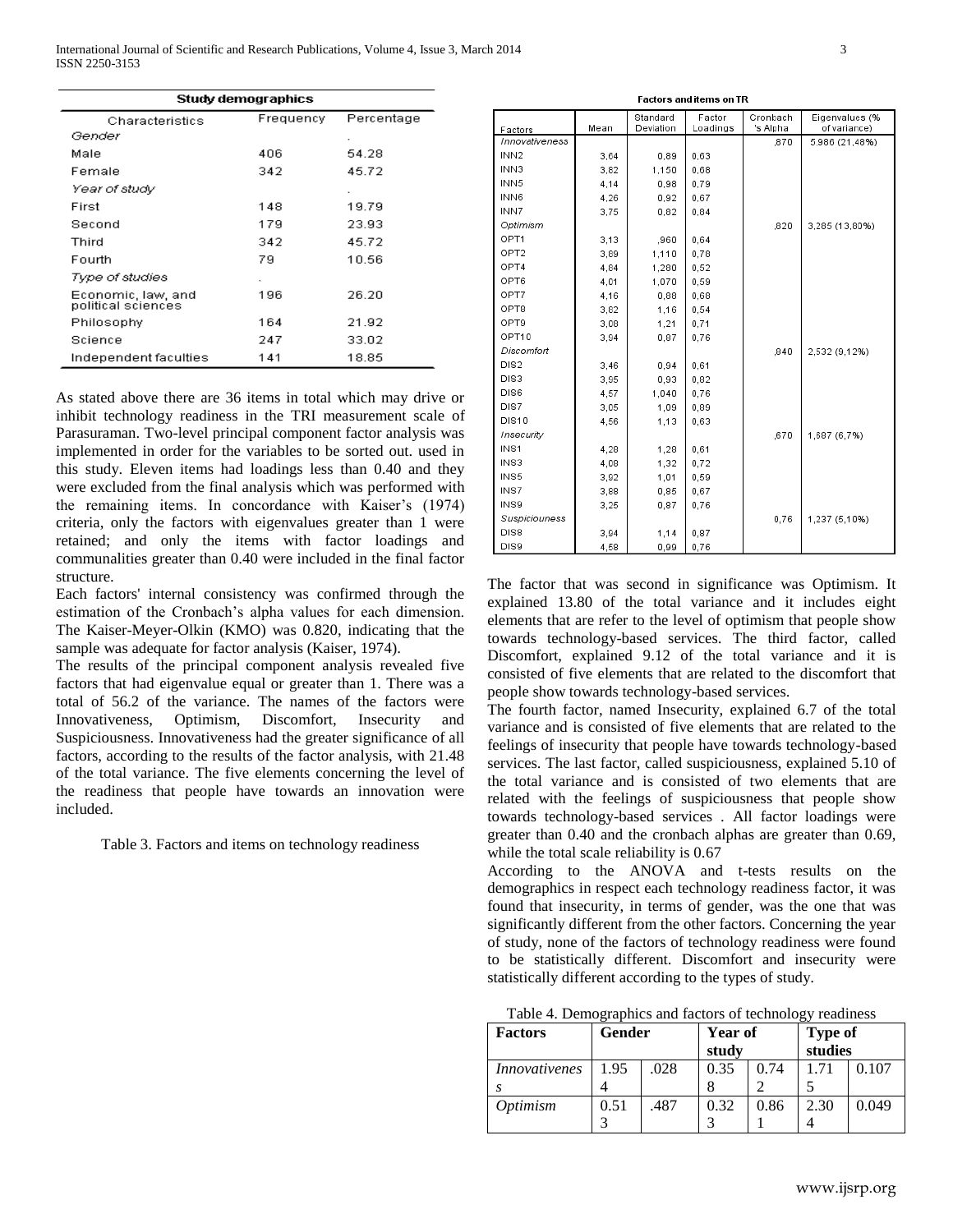| Study demographics                         |     |       |  |  |  |  |
|--------------------------------------------|-----|-------|--|--|--|--|
| Percentage<br>Frequency<br>Characteristics |     |       |  |  |  |  |
| Gender                                     |     |       |  |  |  |  |
| Male                                       | 406 | 54.28 |  |  |  |  |
| Female                                     | 342 | 45.72 |  |  |  |  |
| Year of study                              |     |       |  |  |  |  |
| First                                      | 148 | 19.79 |  |  |  |  |
| Second                                     | 179 | 23.93 |  |  |  |  |
| Third                                      | 342 | 45.72 |  |  |  |  |
| Fourth                                     | 79  | 10.56 |  |  |  |  |
| Type of studies                            |     |       |  |  |  |  |
| Economic, law, and<br>political sciences   | 196 | 26.20 |  |  |  |  |
| Philosophy                                 | 164 | 21.92 |  |  |  |  |
| Science                                    | 247 | 33.02 |  |  |  |  |
| Independent faculties                      | 141 | 18.85 |  |  |  |  |

As stated above there are 36 items in total which may drive or inhibit technology readiness in the TRI measurement scale of Parasuraman. Two-level principal component factor analysis was implemented in order for the variables to be sorted out. used in this study. Eleven items had loadings less than 0.40 and they were excluded from the final analysis which was performed with the remaining items. In concordance with Kaiser's (1974) criteria, only the factors with eigenvalues greater than 1 were retained; and only the items with factor loadings and communalities greater than 0.40 were included in the final factor structure.

Each factors' internal consistency was confirmed through the estimation of the Cronbach's alpha values for each dimension. The Kaiser-Meyer-Olkin (KMO) was 0.820, indicating that the sample was adequate for factor analysis (Kaiser, 1974).

The results of the principal component analysis revealed five factors that had eigenvalue equal or greater than 1. There was a total of 56.2 of the variance. The names of the factors were Innovativeness, Optimism, Discomfort, Insecurity and Suspiciousness. Innovativeness had the greater significance of all factors, according to the results of the factor analysis, with 21.48 of the total variance. The five elements concerning the level of the readiness that people have towards an innovation were included.

Table 3. Factors and items on technology readiness

| Factors          | Mean | Standard<br>Deviation | Factor<br>Loadings | Cronbach<br>'s Alpha | Eigenvalues (%<br>of variance) |  |  |
|------------------|------|-----------------------|--------------------|----------------------|--------------------------------|--|--|
| Innovativeness   |      |                       |                    | ,870                 | 5,986 (21,48%)                 |  |  |
| INN <sub>2</sub> | 3,64 | 0,89                  | 0,63               |                      |                                |  |  |
| INN3             | 3,82 | 1,150                 | 0,68               |                      |                                |  |  |
| INN <sub>5</sub> | 4.14 | 0,98                  | 0.79               |                      |                                |  |  |
| INN6             | 4,26 | 0,92                  | 0.67               |                      |                                |  |  |
| INN7             | 3,75 | 0.82                  | 0.84               |                      |                                |  |  |
| Optimism         |      |                       |                    | ,820                 | 3,285 (13,80%)                 |  |  |
| OPT <sub>1</sub> | 3,13 | ,960                  | 0,64               |                      |                                |  |  |
| OPT <sub>2</sub> | 3,89 | 1,110                 | 0,78               |                      |                                |  |  |
| OPT4             | 4,84 | 1,280                 | 0,52               |                      |                                |  |  |
| OPT6             | 4,01 | 1,070                 | 0,59               |                      |                                |  |  |
| OPT7             | 4,16 | 0,88                  | 0,68               |                      |                                |  |  |
| OPT8             | 3,82 | 1,16                  | 0,54               |                      |                                |  |  |
| OPT9             | 3,08 | 1,21                  | 0,71               |                      |                                |  |  |
| OPT10            | 3,94 | 0,87                  | 0,76               |                      |                                |  |  |
| Discomfort       |      |                       |                    | .840                 | 2,532 (9,12%)                  |  |  |
| DIS <sub>2</sub> | 3.46 | 0,94                  | 0.61               |                      |                                |  |  |
| DIS3             | 3,95 | 0,93                  | 0.82               |                      |                                |  |  |
| DIS <sub>6</sub> | 4.57 | 1.040                 | 0.76               |                      |                                |  |  |
| DIS7             | 3.05 | 1.09                  | 0.89               |                      |                                |  |  |
| <b>DIS10</b>     | 4,56 | 1,13                  | 0.63               |                      |                                |  |  |
| Insecurity       |      |                       |                    | .670                 | 1,687 (6,7%)                   |  |  |
| INS1             | 4.28 | 1,28                  | 0.61               |                      |                                |  |  |
| INS3             | 4.08 | 1,32                  | 0.72               |                      |                                |  |  |
| INS5             | 3,92 | 1,01                  | 0,59               |                      |                                |  |  |
| INS7             | 3,88 | 0,85                  | 0.67               |                      |                                |  |  |
| INS9             | 3,25 | 0,87                  | 0.76               |                      |                                |  |  |
| Suspiciouness    |      |                       |                    | 0,76                 | 1,237 (5,10%)                  |  |  |
| DIS8             | 3,94 | 1,14                  | 0,87               |                      |                                |  |  |
| DIS9             | 4,58 | 0,99                  | 0,76               |                      |                                |  |  |

Eactors and itams on TD

The factor that was second in significance was Optimism. It explained 13.80 of the total variance and it includes eight elements that are refer to the level of optimism that people show towards technology-based services. The third factor, called Discomfort, explained 9.12 of the total variance and it is consisted of five elements that are related to the discomfort that people show towards technology-based services.

The fourth factor, named Insecurity, explained 6.7 of the total variance and is consisted of five elements that are related to the feelings of insecurity that people have towards technology-based services. The last factor, called suspiciousness, explained 5.10 of the total variance and is consisted of two elements that are related with the feelings of suspiciousness that people show towards technology-based services . All factor loadings were greater than 0.40 and the cronbach alphas are greater than 0.69, while the total scale reliability is 0.67

According to the ANOVA and t-tests results on the demographics in respect each technology readiness factor, it was found that insecurity, in terms of gender, was the one that was significantly different from the other factors. Concerning the year of study, none of the factors of technology readiness were found to be statistically different. Discomfort and insecurity were statistically different according to the types of study.

| Table 4. Demographics and factors of technology readiness |  |  |
|-----------------------------------------------------------|--|--|
|                                                           |  |  |

| <b>Factors</b>       | <b>Gender</b> |      | Year of<br>study |      | <b>Type of</b><br>studies |       |
|----------------------|---------------|------|------------------|------|---------------------------|-------|
| <i>Innovativenes</i> | 1.95          | .028 | 0.35             | 0.74 | 1.71                      | 0.107 |
| <i>Optimism</i>      | 0.51          | .487 | 0.32             | 0.86 | 2.30                      | 0.049 |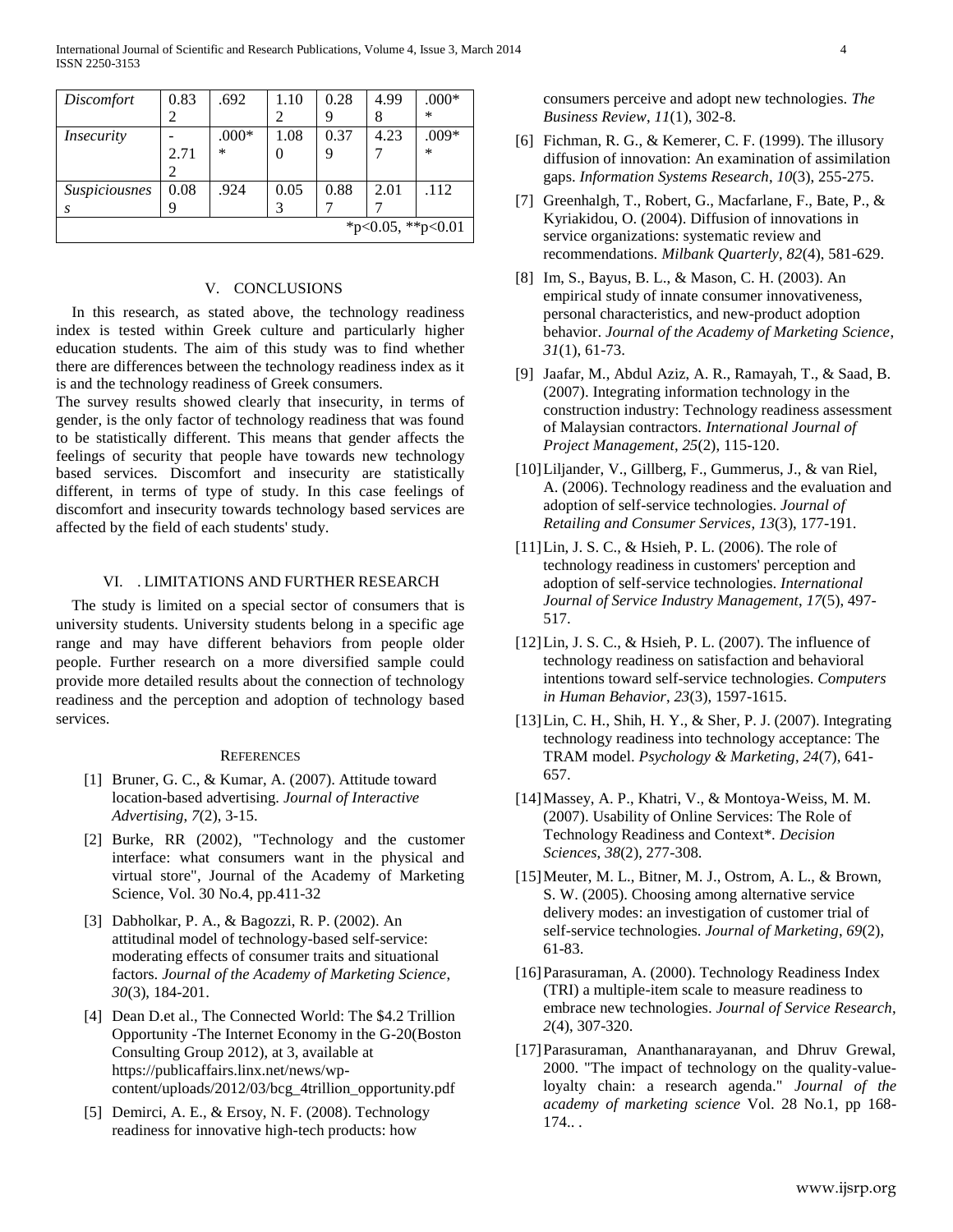| <i>Discomfort</i>    | 0.83 | .692    | 1.10 | 0.28 | 4.99 | $.000*$ |
|----------------------|------|---------|------|------|------|---------|
|                      |      |         | 2    | 9    | 8    | ∗       |
| <i>Insecurity</i>    |      | $.000*$ | 1.08 | 0.37 | 4.23 | $.009*$ |
|                      | 2.71 | $\ast$  | 0    | 9    |      | $\ast$  |
|                      |      |         |      |      |      |         |
| <i>Suspiciousnes</i> | 0.08 | .924    | 0.05 | 0.88 | 2.01 | .112    |
| S                    | q    |         |      |      |      |         |
| *p<0.05, **p<0.01    |      |         |      |      |      |         |

## V. CONCLUSIONS

 In this research, as stated above, the technology readiness index is tested within Greek culture and particularly higher education students. The aim of this study was to find whether there are differences between the technology readiness index as it is and the technology readiness of Greek consumers.

The survey results showed clearly that insecurity, in terms of gender, is the only factor of technology readiness that was found to be statistically different. This means that gender affects the feelings of security that people have towards new technology based services. Discomfort and insecurity are statistically different, in terms of type of study. In this case feelings of discomfort and insecurity towards technology based services are affected by the field of each students' study.

#### VI. . LIMITATIONS AND FURTHER RESEARCH

The study is limited on a special sector of consumers that is university students. University students belong in a specific age range and may have different behaviors from people older people. Further research on a more diversified sample could provide more detailed results about the connection of technology readiness and the perception and adoption of technology based services.

#### **REFERENCES**

- [1] Bruner, G. C., & Kumar, A. (2007). Attitude toward location-based advertising. *Journal of Interactive Advertising*, *7*(2), 3-15.
- [2] Burke, RR (2002), "Technology and the customer interface: what consumers want in the physical and virtual store", Journal of the Academy of Marketing Science, Vol. 30 No.4, pp.411-32
- [3] Dabholkar, P. A., & Bagozzi, R. P. (2002). An attitudinal model of technology-based self-service: moderating effects of consumer traits and situational factors. *Journal of the Academy of Marketing Science*, *30*(3), 184-201.
- [4] Dean D.et al., The Connected World: The \$4.2 Trillion Opportunity -The Internet Economy in the G-20(Boston Consulting Group 2012), at 3, available at https://publicaffairs.linx.net/news/wpcontent/uploads/2012/03/bcg\_4trillion\_opportunity.pdf
- [5] Demirci, A. E., & Ersoy, N. F. (2008). Technology readiness for innovative high-tech products: how

consumers perceive and adopt new technologies. *The Business Review*, *11*(1), 302-8.

- [6] Fichman, R. G., & Kemerer, C. F. (1999). The illusory diffusion of innovation: An examination of assimilation gaps. *Information Systems Research*, *10*(3), 255-275.
- [7] Greenhalgh, T., Robert, G., Macfarlane, F., Bate, P., & Kyriakidou, O. (2004). Diffusion of innovations in service organizations: systematic review and recommendations. *Milbank Quarterly*, *82*(4), 581-629.
- [8] Im, S., Bayus, B. L., & Mason, C. H. (2003). An empirical study of innate consumer innovativeness, personal characteristics, and new-product adoption behavior. *Journal of the Academy of Marketing Science*, *31*(1), 61-73.
- [9] Jaafar, M., Abdul Aziz, A. R., Ramayah, T., & Saad, B. (2007). Integrating information technology in the construction industry: Technology readiness assessment of Malaysian contractors. *International Journal of Project Management*, *25*(2), 115-120.
- [10]Liljander, V., Gillberg, F., Gummerus, J., & van Riel, A. (2006). Technology readiness and the evaluation and adoption of self-service technologies. *Journal of Retailing and Consumer Services*, *13*(3), 177-191.
- [11]Lin, J. S. C., & Hsieh, P. L. (2006). The role of technology readiness in customers' perception and adoption of self-service technologies. *International Journal of Service Industry Management*, *17*(5), 497- 517.
- [12]Lin, J. S. C., & Hsieh, P. L. (2007). The influence of technology readiness on satisfaction and behavioral intentions toward self-service technologies. *Computers in Human Behavior*, *23*(3), 1597-1615.
- [13]Lin, C. H., Shih, H. Y., & Sher, P. J. (2007). Integrating technology readiness into technology acceptance: The TRAM model. *Psychology & Marketing*, *24*(7), 641- 657.
- [14]Massey, A. P., Khatri, V., & Montoya‐Weiss, M. M. (2007). Usability of Online Services: The Role of Technology Readiness and Context\*. *Decision Sciences*, *38*(2), 277-308.
- [15]Meuter, M. L., Bitner, M. J., Ostrom, A. L., & Brown, S. W. (2005). Choosing among alternative service delivery modes: an investigation of customer trial of self-service technologies. *Journal of Marketing*, *69*(2), 61-83.
- [16] Parasuraman, A. (2000). Technology Readiness Index (TRI) a multiple-item scale to measure readiness to embrace new technologies. *Journal of Service Research*, *2*(4), 307-320.
- [17]Parasuraman, Ananthanarayanan, and Dhruv Grewal, 2000. "The impact of technology on the quality-valueloyalty chain: a research agenda." *Journal of the academy of marketing science* Vol. 28 No.1, pp 168- 174.. .